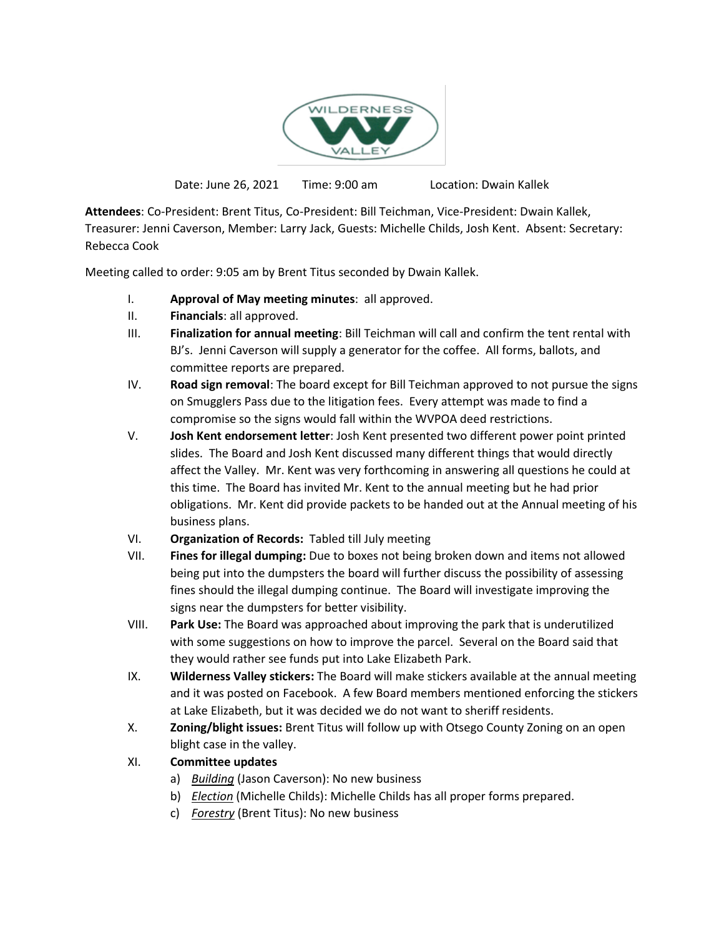

Date: June 26, 2021 Time: 9:00 am Location: Dwain Kallek

**Attendees**: Co-President: Brent Titus, Co-President: Bill Teichman, Vice-President: Dwain Kallek, Treasurer: Jenni Caverson, Member: Larry Jack, Guests: Michelle Childs, Josh Kent. Absent: Secretary: Rebecca Cook

Meeting called to order: 9:05 am by Brent Titus seconded by Dwain Kallek.

- I. **Approval of May meeting minutes**: all approved.
- II. **Financials**: all approved.
- III. **Finalization for annual meeting**: Bill Teichman will call and confirm the tent rental with BJ's. Jenni Caverson will supply a generator for the coffee. All forms, ballots, and committee reports are prepared.
- IV. **Road sign removal**: The board except for Bill Teichman approved to not pursue the signs on Smugglers Pass due to the litigation fees. Every attempt was made to find a compromise so the signs would fall within the WVPOA deed restrictions.
- V. **Josh Kent endorsement letter**: Josh Kent presented two different power point printed slides. The Board and Josh Kent discussed many different things that would directly affect the Valley. Mr. Kent was very forthcoming in answering all questions he could at this time. The Board has invited Mr. Kent to the annual meeting but he had prior obligations. Mr. Kent did provide packets to be handed out at the Annual meeting of his business plans.
- VI. **Organization of Records:** Tabled till July meeting
- VII. **Fines for illegal dumping:** Due to boxes not being broken down and items not allowed being put into the dumpsters the board will further discuss the possibility of assessing fines should the illegal dumping continue. The Board will investigate improving the signs near the dumpsters for better visibility.
- VIII. **Park Use:** The Board was approached about improving the park that is underutilized with some suggestions on how to improve the parcel. Several on the Board said that they would rather see funds put into Lake Elizabeth Park.
- IX. **Wilderness Valley stickers:** The Board will make stickers available at the annual meeting and it was posted on Facebook. A few Board members mentioned enforcing the stickers at Lake Elizabeth, but it was decided we do not want to sheriff residents.
- X. **Zoning/blight issues:** Brent Titus will follow up with Otsego County Zoning on an open blight case in the valley.
- XI. **Committee updates**
	- a) *Building* (Jason Caverson): No new business
	- b) *Election* (Michelle Childs): Michelle Childs has all proper forms prepared.
	- c) *Forestry* (Brent Titus): No new business